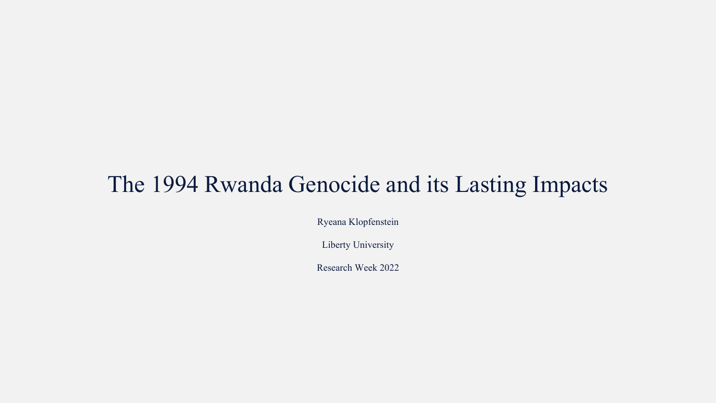#### The 1994 Rwanda Genocide and its Lasting Impacts

Ryeana Klopfenstein

Liberty University

Research Week 2022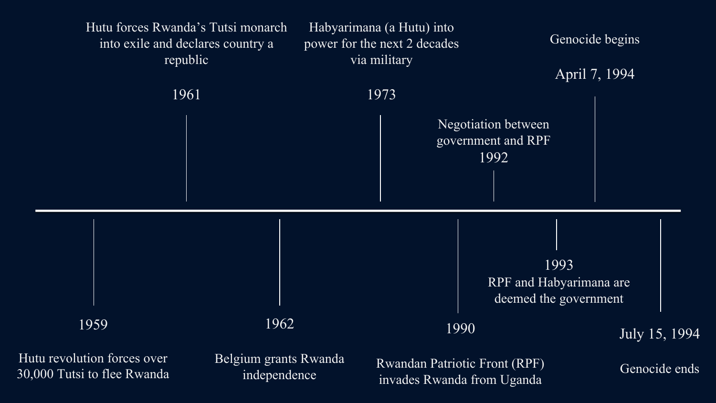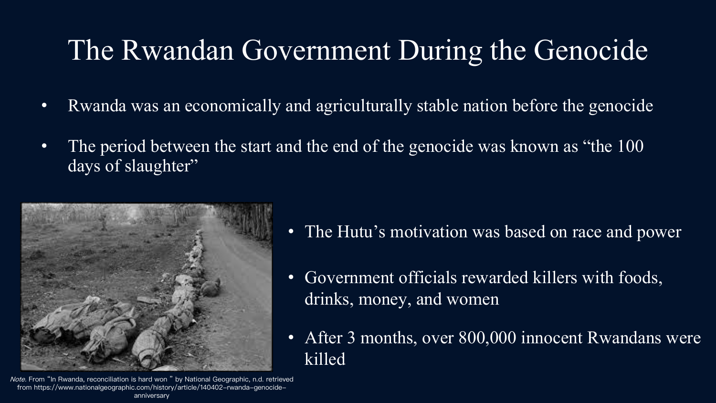# The Rwandan Government During the Genocide

- Rwanda was an economically and agriculturally stable nation before the genocide
- The period between the start and the end of the genocide was known as "the 100 days of slaughter"



- The Hutu's motivation was based on race and power
- Government officials rewarded killers with foods, drinks, money, and women
- After 3 months, over 800,000 innocent Rwandans were killed

Note. From "In Rwanda, reconciliation is hard won" by National Geographic, n.d. retrieved from https://www.nationalgeographic.com/history/article/140402-rwanda-genocideanniversary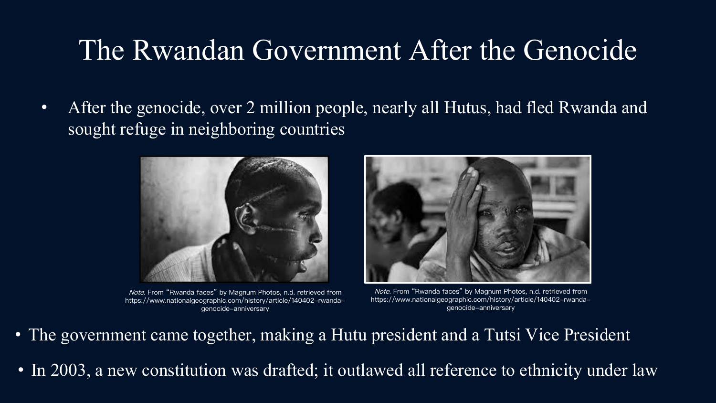### The Rwandan Government After the Genocide

• After the genocide, over 2 million people, nearly all Hutus, had fled Rwanda and sought refuge in neighboring countries



Note. From "Rwanda faces" by Magnum Photos, n.d. retrieved from https://www.nationalgeographic.com/history/article/140402-rwandagenocide-anniversary



Note. From "Rwanda faces" by Magnum Photos, n.d. retrieved from https://www.nationalgeographic.com/history/article/140402-rwandagenocide-anniversary

- The government came together, making a Hutu president and a Tutsi Vice President
- In 2003, a new constitution was drafted; it outlawed all reference to ethnicity under law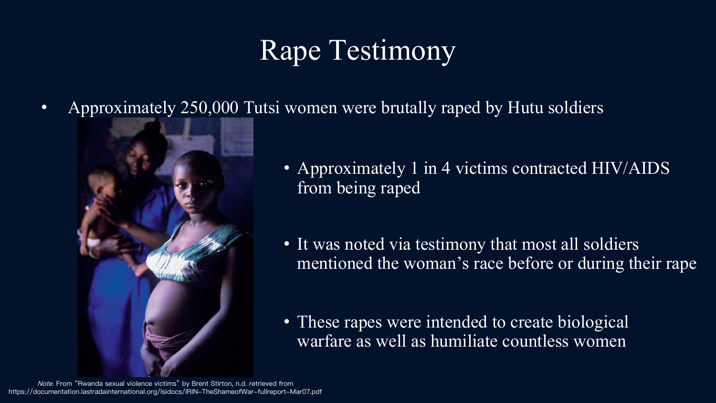# Rape Testimony

• Approximately 250,000 Tutsi women were brutally raped by Hutu soldiers



- Approximately 1 in 4 victims contracted HIV/AIDS from being raped
- It was noted via testimony that most all soldiers mentioned the woman's race before or during their rape
- These rapes were intended to create biological warfare as well as humiliate countless women

Note. From "Rwanda sexual violence victims" by Brent Stirton, n.d. retrieved from https://documentation.lastradainternational.org/lsidocs/IRIN-TheShameofWar-fullreport-Mar07.pdf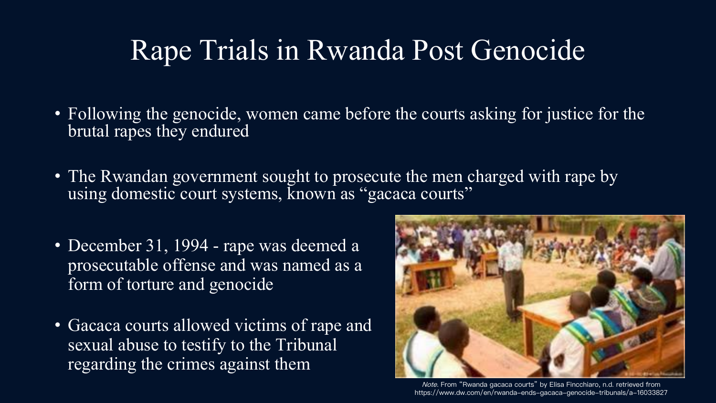### Rape Trials in Rwanda Post Genocide

- Following the genocide, women came before the courts asking for justice for the brutal rapes they endured
- The Rwandan government sought to prosecute the men charged with rape by using domestic court systems, known as "gacaca courts"
- December 31, 1994 rape was deemed a prosecutable offense and was named as a form of torture and genocide
- Gacaca courts allowed victims of rape and sexual abuse to testify to the Tribunal regarding the crimes against them



Note. From "Rwanda gacaca courts" by Elisa Fincchiaro, n.d. retrieved from https://www.dw.com/en/rwanda-ends-gacaca-genocide-tribunals/a-16033827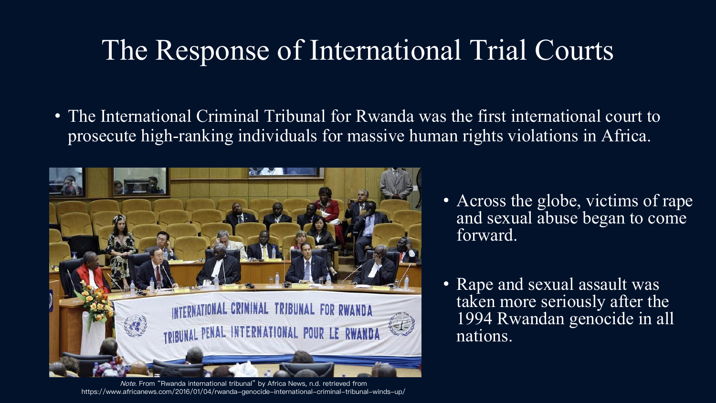# The Response of International Trial Courts

• The International Criminal Tribunal for Rwanda was the first international court to prosecute high-ranking individuals for massive human rights violations in Africa.



Note. From "Rwanda international tribunal" by Africa News, n.d. retrieved from https://www.africanews.com/2016/01/04/rwanda-genocide-international-criminal-tribunal-winds-up/

- Across the globe, victims of rape and sexual abuse began to come forward.
- Rape and sexual assault was taken more seriously after the 1994 Rwandan genocide in all nations.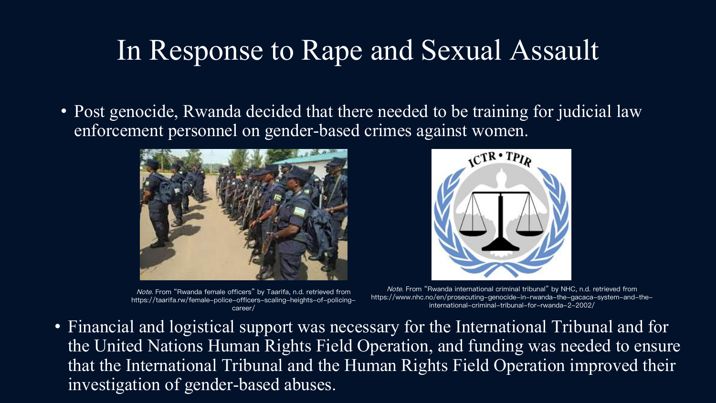#### In Response to Rape and Sexual Assault

• Post genocide, Rwanda decided that there needed to be training for judicial law enforcement personnel on gender-based crimes against women.



Note. From "Rwanda female officers" by Taarifa, n.d. retrieved from https://taarifa.rw/female-police-officers-scaling-heights-of-policingcareer/



Note. From "Rwanda international criminal tribunal" by NHC, n.d. retrieved from https://www.nhc.no/en/prosecuting-genocide-in-rwanda-the-gacaca-system-and-theinternational-criminal-tribunal-for-rwanda-2-2002/

• Financial and logistical support was necessary for the International Tribunal and for the United Nations Human Rights Field Operation, and funding was needed to ensure that the International Tribunal and the Human Rights Field Operation improved their investigation of gender-based abuses.